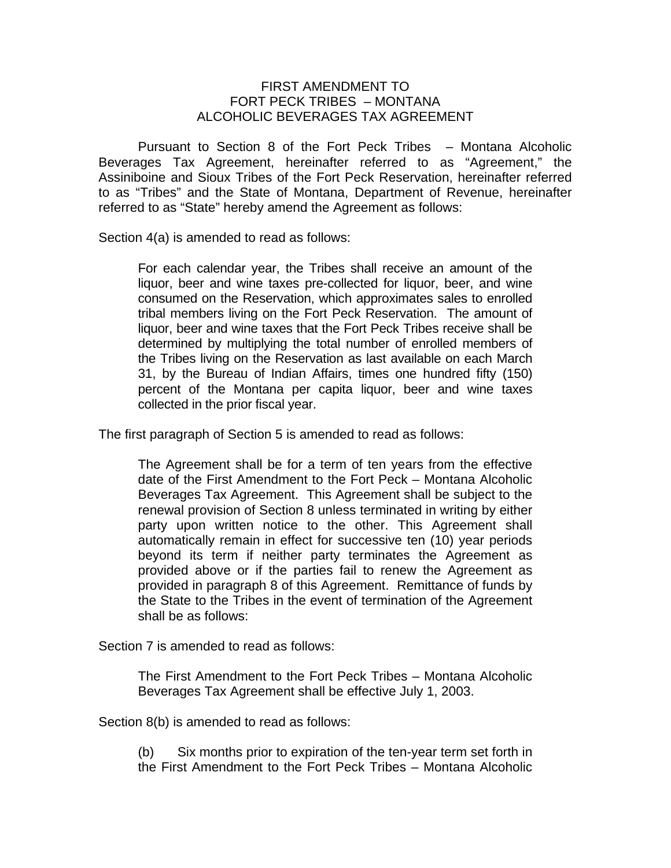## FIRST AMENDMENT TO FORT PECK TRIBES – MONTANA ALCOHOLIC BEVERAGES TAX AGREEMENT

 Pursuant to Section 8 of the Fort Peck Tribes – Montana Alcoholic Beverages Tax Agreement, hereinafter referred to as "Agreement," the Assiniboine and Sioux Tribes of the Fort Peck Reservation, hereinafter referred to as "Tribes" and the State of Montana, Department of Revenue, hereinafter referred to as "State" hereby amend the Agreement as follows:

Section 4(a) is amended to read as follows:

For each calendar year, the Tribes shall receive an amount of the liquor, beer and wine taxes pre-collected for liquor, beer, and wine consumed on the Reservation, which approximates sales to enrolled tribal members living on the Fort Peck Reservation. The amount of liquor, beer and wine taxes that the Fort Peck Tribes receive shall be determined by multiplying the total number of enrolled members of the Tribes living on the Reservation as last available on each March 31, by the Bureau of Indian Affairs, times one hundred fifty (150) percent of the Montana per capita liquor, beer and wine taxes collected in the prior fiscal year.

The first paragraph of Section 5 is amended to read as follows:

The Agreement shall be for a term of ten years from the effective date of the First Amendment to the Fort Peck – Montana Alcoholic Beverages Tax Agreement. This Agreement shall be subject to the renewal provision of Section 8 unless terminated in writing by either party upon written notice to the other. This Agreement shall automatically remain in effect for successive ten (10) year periods beyond its term if neither party terminates the Agreement as provided above or if the parties fail to renew the Agreement as provided in paragraph 8 of this Agreement. Remittance of funds by the State to the Tribes in the event of termination of the Agreement shall be as follows:

Section 7 is amended to read as follows:

The First Amendment to the Fort Peck Tribes – Montana Alcoholic Beverages Tax Agreement shall be effective July 1, 2003.

Section 8(b) is amended to read as follows:

(b) Six months prior to expiration of the ten-year term set forth in the First Amendment to the Fort Peck Tribes – Montana Alcoholic